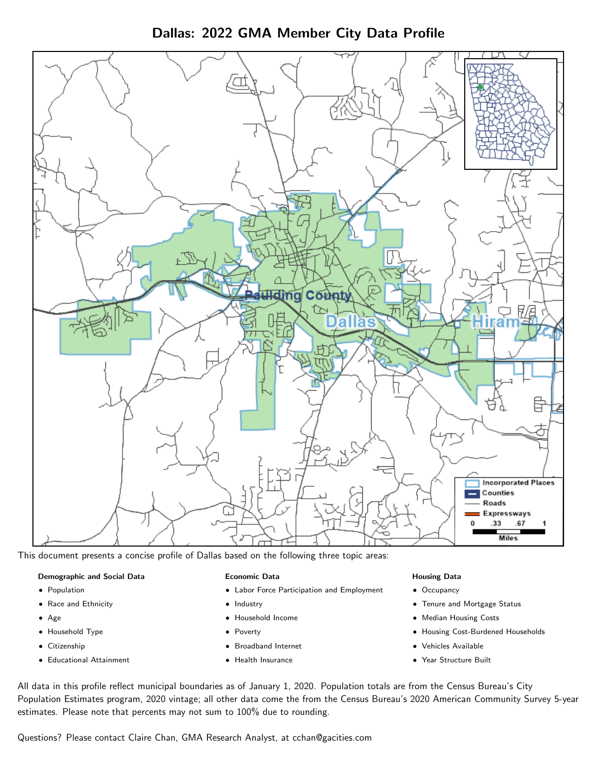Dallas: 2022 GMA Member City Data Profile



This document presents a concise profile of Dallas based on the following three topic areas:

#### Demographic and Social Data

- **•** Population
- Race and Ethnicity
- Age
- Household Type
- **Citizenship**
- Educational Attainment

#### Economic Data

- Labor Force Participation and Employment
- Industry
- Household Income
- Poverty
- Broadband Internet
- Health Insurance

#### Housing Data

- Occupancy
- Tenure and Mortgage Status
- Median Housing Costs
- Housing Cost-Burdened Households
- Vehicles Available
- Year Structure Built

All data in this profile reflect municipal boundaries as of January 1, 2020. Population totals are from the Census Bureau's City Population Estimates program, 2020 vintage; all other data come the from the Census Bureau's 2020 American Community Survey 5-year estimates. Please note that percents may not sum to 100% due to rounding.

Questions? Please contact Claire Chan, GMA Research Analyst, at [cchan@gacities.com.](mailto:cchan@gacities.com)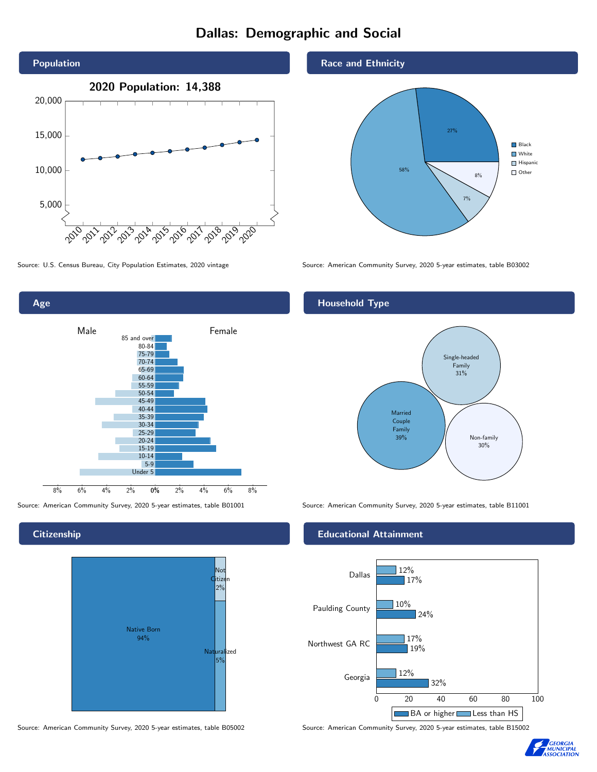# Dallas: Demographic and Social





**Citizenship** 



Source: American Community Survey, 2020 5-year estimates, table B05002 Source: American Community Survey, 2020 5-year estimates, table B15002

Race and Ethnicity



Source: U.S. Census Bureau, City Population Estimates, 2020 vintage Source: American Community Survey, 2020 5-year estimates, table B03002

## Household Type



Source: American Community Survey, 2020 5-year estimates, table B01001 Source: American Community Survey, 2020 5-year estimates, table B11001

#### Educational Attainment



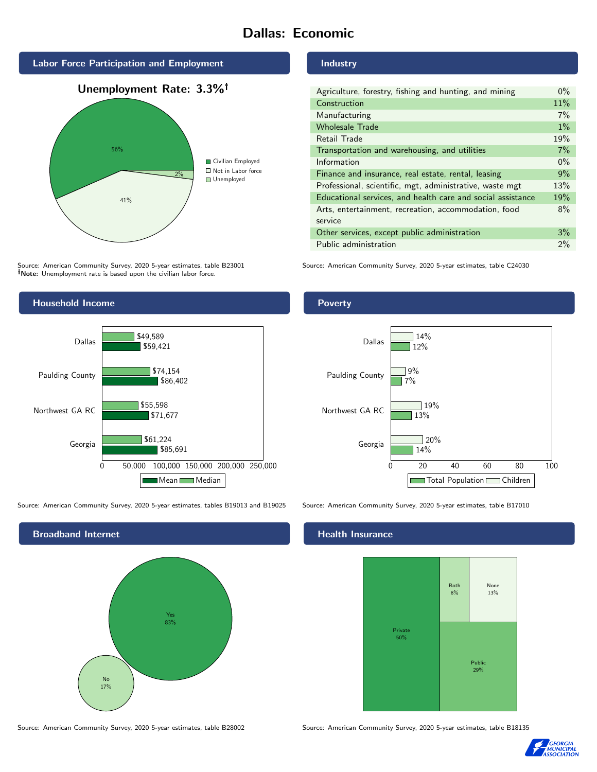# Dallas: Economic



Source: American Community Survey, 2020 5-year estimates, table B23001 Note: Unemployment rate is based upon the civilian labor force.



Source: American Community Survey, 2020 5-year estimates, tables B19013 and B19025 Source: American Community Survey, 2020 5-year estimates, table B17010



Source: American Community Survey, 2020 5-year estimates, table B28002 Source: American Community Survey, 2020 5-year estimates, table B18135

Industry

Poverty

| Agriculture, forestry, fishing and hunting, and mining      | $0\%$ |
|-------------------------------------------------------------|-------|
| Construction                                                | 11%   |
| Manufacturing                                               | 7%    |
| <b>Wholesale Trade</b>                                      | $1\%$ |
| Retail Trade                                                | 19%   |
| Transportation and warehousing, and utilities               | 7%    |
| Information                                                 | $0\%$ |
| Finance and insurance, real estate, rental, leasing         | 9%    |
| Professional, scientific, mgt, administrative, waste mgt    | 13%   |
| Educational services, and health care and social assistance | 19%   |
| Arts, entertainment, recreation, accommodation, food        | 8%    |
| service                                                     |       |
| Other services, except public administration                | 3%    |
| Public administration                                       | 2%    |

Source: American Community Survey, 2020 5-year estimates, table C24030



## **Health Insurance**